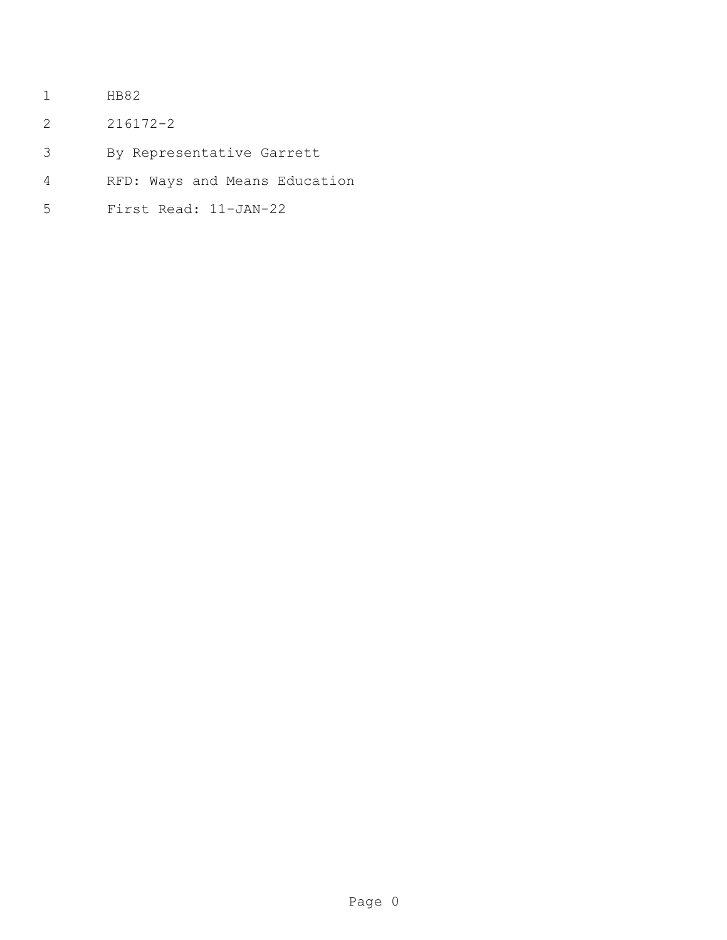- HB82
- 216172-2
- By Representative Garrett
- RFD: Ways and Means Education
- First Read: 11-JAN-22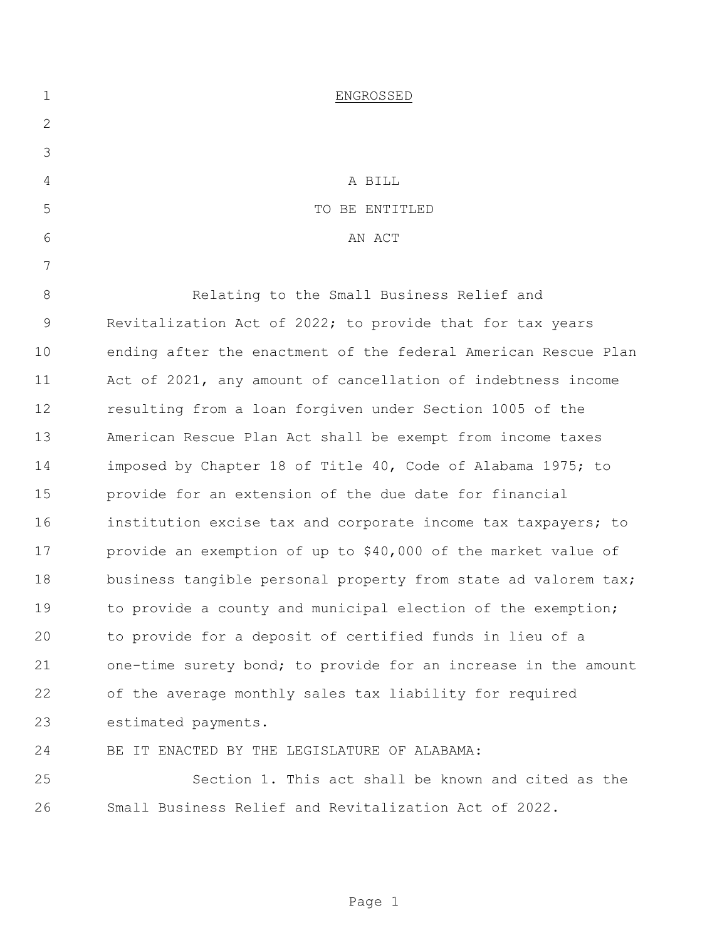| $\mathbf 1$ | ENGROSSED                                                      |
|-------------|----------------------------------------------------------------|
| 2           |                                                                |
| 3           |                                                                |
| 4           | A BILL                                                         |
| 5           | TO BE ENTITLED                                                 |
| 6           | AN ACT                                                         |
| 7           |                                                                |
| 8           | Relating to the Small Business Relief and                      |
| 9           | Revitalization Act of 2022; to provide that for tax years      |
| 10          | ending after the enactment of the federal American Rescue Plan |
| 11          | Act of 2021, any amount of cancellation of indebtness income   |
| 12          | resulting from a loan forgiven under Section 1005 of the       |
| 13          | American Rescue Plan Act shall be exempt from income taxes     |
| 14          | imposed by Chapter 18 of Title 40, Code of Alabama 1975; to    |
| 15          | provide for an extension of the due date for financial         |
| 16          | institution excise tax and corporate income tax taxpayers; to  |
| 17          | provide an exemption of up to \$40,000 of the market value of  |
| 18          | business tangible personal property from state ad valorem tax; |
| 19          | to provide a county and municipal election of the exemption;   |
| 20          | to provide for a deposit of certified funds in lieu of a       |
| 21          | one-time surety bond; to provide for an increase in the amount |
| 22          | of the average monthly sales tax liability for required        |
| 23          | estimated payments.                                            |
| 24          | BE IT ENACTED BY THE LEGISLATURE OF ALABAMA:                   |
| 25          | Section 1. This act shall be known and cited as the            |
| 26          | Small Business Relief and Revitalization Act of 2022.          |
|             |                                                                |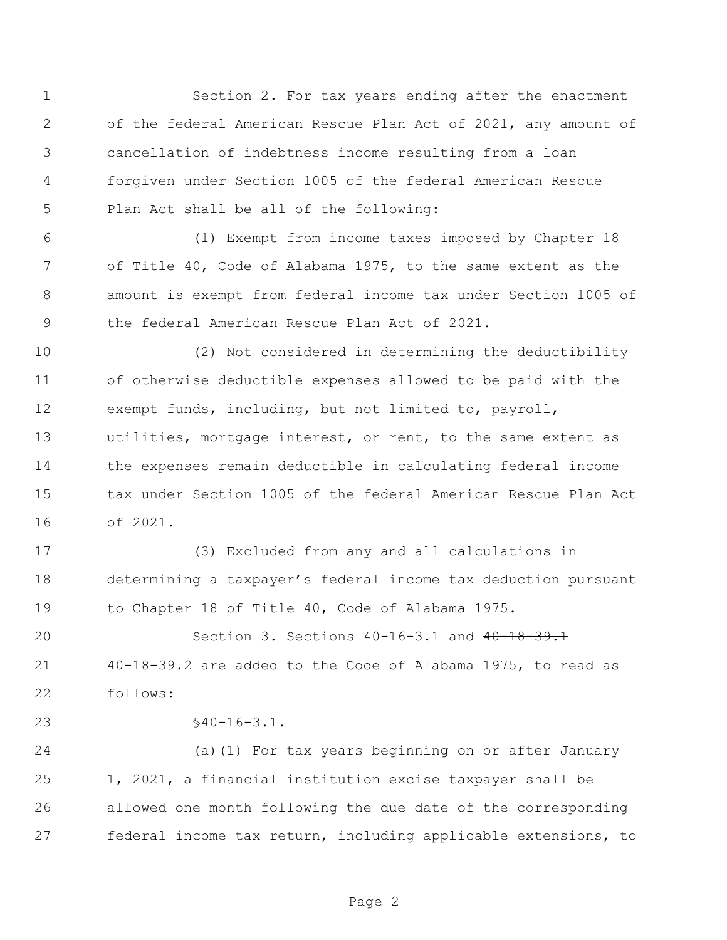Section 2. For tax years ending after the enactment of the federal American Rescue Plan Act of 2021, any amount of cancellation of indebtness income resulting from a loan forgiven under Section 1005 of the federal American Rescue Plan Act shall be all of the following:

 (1) Exempt from income taxes imposed by Chapter 18 of Title 40, Code of Alabama 1975, to the same extent as the amount is exempt from federal income tax under Section 1005 of the federal American Rescue Plan Act of 2021.

 (2) Not considered in determining the deductibility of otherwise deductible expenses allowed to be paid with the exempt funds, including, but not limited to, payroll, utilities, mortgage interest, or rent, to the same extent as the expenses remain deductible in calculating federal income tax under Section 1005 of the federal American Rescue Plan Act of 2021.

 (3) Excluded from any and all calculations in determining a taxpayer's federal income tax deduction pursuant to Chapter 18 of Title 40, Code of Alabama 1975.

20 Section 3. Sections 40-16-3.1 and 40-18-39.1 40-18-39.2 are added to the Code of Alabama 1975, to read as follows:

§40-16-3.1.

 (a)(1) For tax years beginning on or after January 1, 2021, a financial institution excise taxpayer shall be allowed one month following the due date of the corresponding federal income tax return, including applicable extensions, to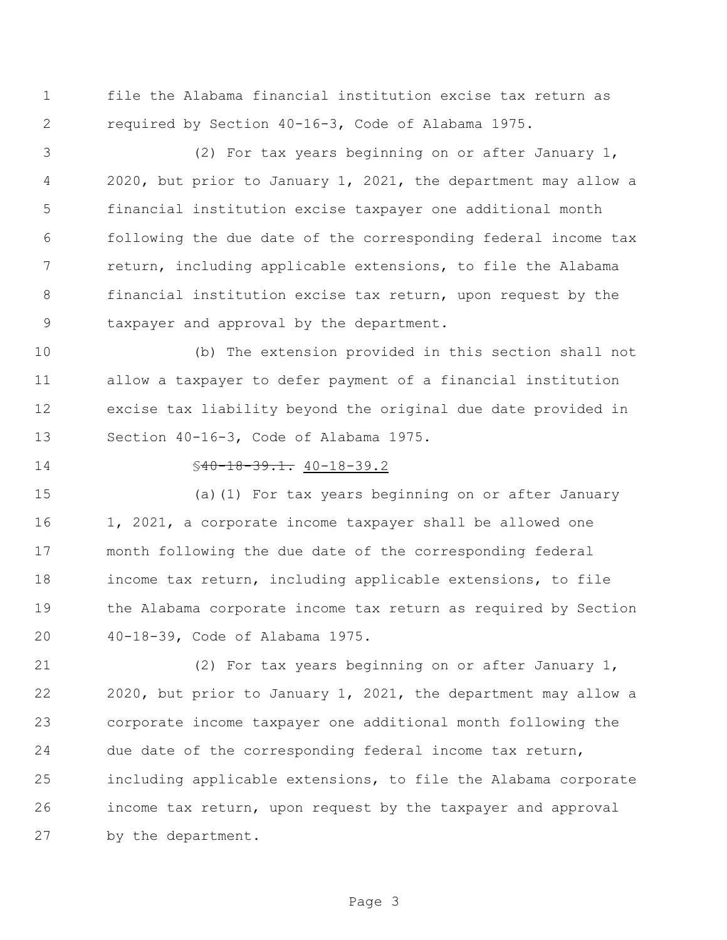file the Alabama financial institution excise tax return as required by Section 40-16-3, Code of Alabama 1975.

 (2) For tax years beginning on or after January 1, 2020, but prior to January 1, 2021, the department may allow a financial institution excise taxpayer one additional month following the due date of the corresponding federal income tax return, including applicable extensions, to file the Alabama financial institution excise tax return, upon request by the taxpayer and approval by the department.

 (b) The extension provided in this section shall not allow a taxpayer to defer payment of a financial institution excise tax liability beyond the original due date provided in Section 40-16-3, Code of Alabama 1975.

## §40-18-39.1. 40-18-39.2

 (a)(1) For tax years beginning on or after January 1, 2021, a corporate income taxpayer shall be allowed one month following the due date of the corresponding federal income tax return, including applicable extensions, to file the Alabama corporate income tax return as required by Section 40-18-39, Code of Alabama 1975.

 (2) For tax years beginning on or after January 1, 2020, but prior to January 1, 2021, the department may allow a corporate income taxpayer one additional month following the due date of the corresponding federal income tax return, including applicable extensions, to file the Alabama corporate income tax return, upon request by the taxpayer and approval by the department.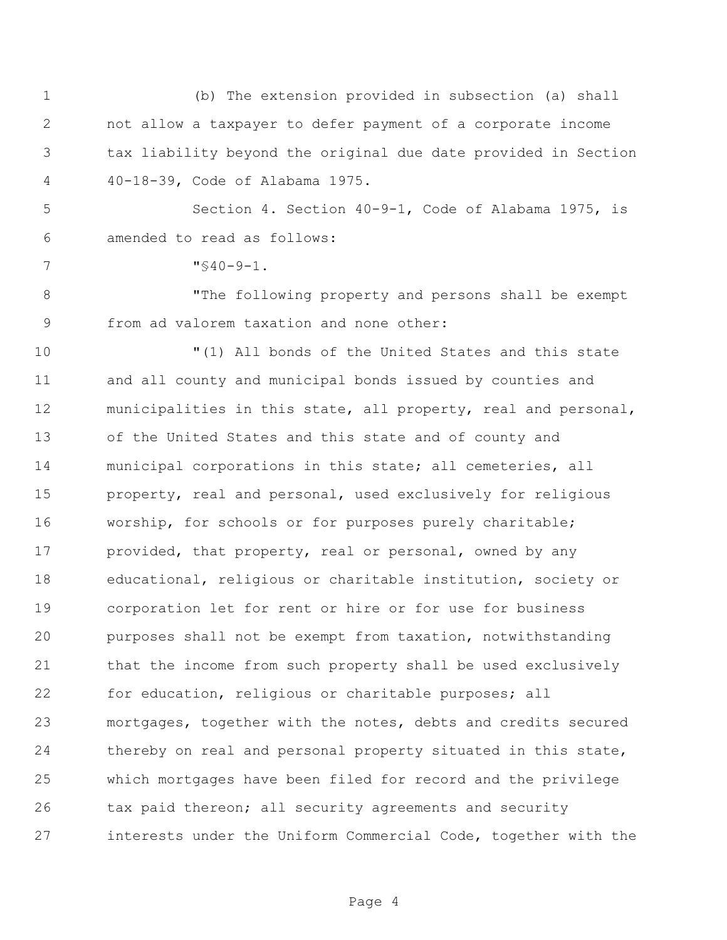(b) The extension provided in subsection (a) shall not allow a taxpayer to defer payment of a corporate income tax liability beyond the original due date provided in Section 40-18-39, Code of Alabama 1975. Section 4. Section 40-9-1, Code of Alabama 1975, is amended to read as follows: "§40-9-1. "The following property and persons shall be exempt from ad valorem taxation and none other: "(1) All bonds of the United States and this state and all county and municipal bonds issued by counties and municipalities in this state, all property, real and personal, of the United States and this state and of county and municipal corporations in this state; all cemeteries, all property, real and personal, used exclusively for religious worship, for schools or for purposes purely charitable; 17 provided, that property, real or personal, owned by any educational, religious or charitable institution, society or corporation let for rent or hire or for use for business purposes shall not be exempt from taxation, notwithstanding

 for education, religious or charitable purposes; all mortgages, together with the notes, debts and credits secured 24 thereby on real and personal property situated in this state, which mortgages have been filed for record and the privilege tax paid thereon; all security agreements and security interests under the Uniform Commercial Code, together with the

that the income from such property shall be used exclusively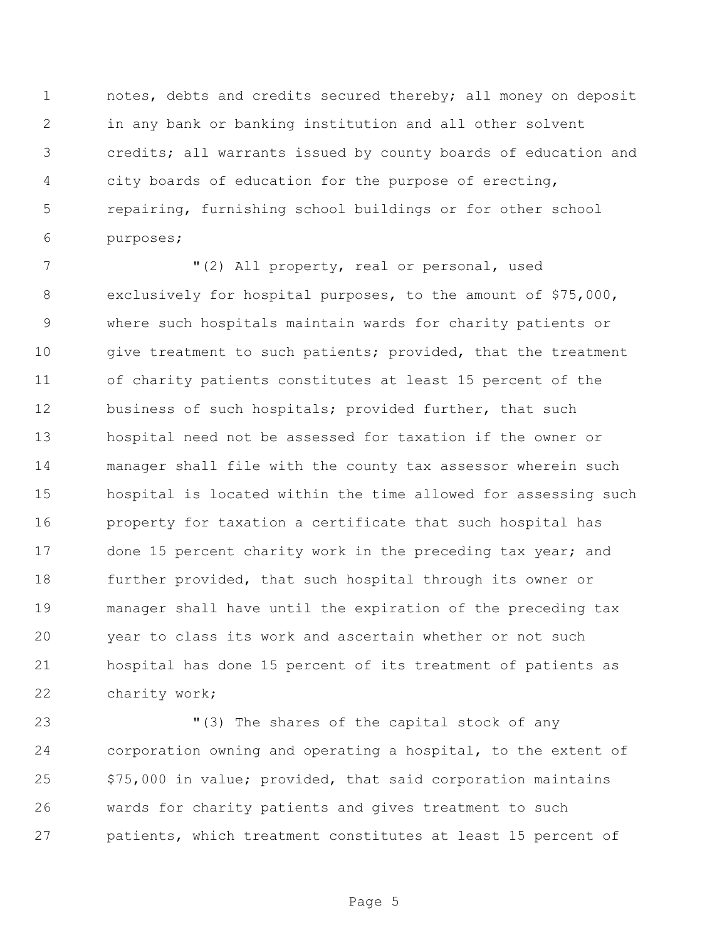notes, debts and credits secured thereby; all money on deposit in any bank or banking institution and all other solvent credits; all warrants issued by county boards of education and city boards of education for the purpose of erecting, repairing, furnishing school buildings or for other school purposes;

 $(2)$  All property, real or personal, used exclusively for hospital purposes, to the amount of \$75,000, where such hospitals maintain wards for charity patients or 10 give treatment to such patients; provided, that the treatment of charity patients constitutes at least 15 percent of the business of such hospitals; provided further, that such hospital need not be assessed for taxation if the owner or manager shall file with the county tax assessor wherein such hospital is located within the time allowed for assessing such property for taxation a certificate that such hospital has 17 done 15 percent charity work in the preceding tax year; and further provided, that such hospital through its owner or manager shall have until the expiration of the preceding tax year to class its work and ascertain whether or not such hospital has done 15 percent of its treatment of patients as charity work;

 "(3) The shares of the capital stock of any corporation owning and operating a hospital, to the extent of \$75,000 in value; provided, that said corporation maintains wards for charity patients and gives treatment to such patients, which treatment constitutes at least 15 percent of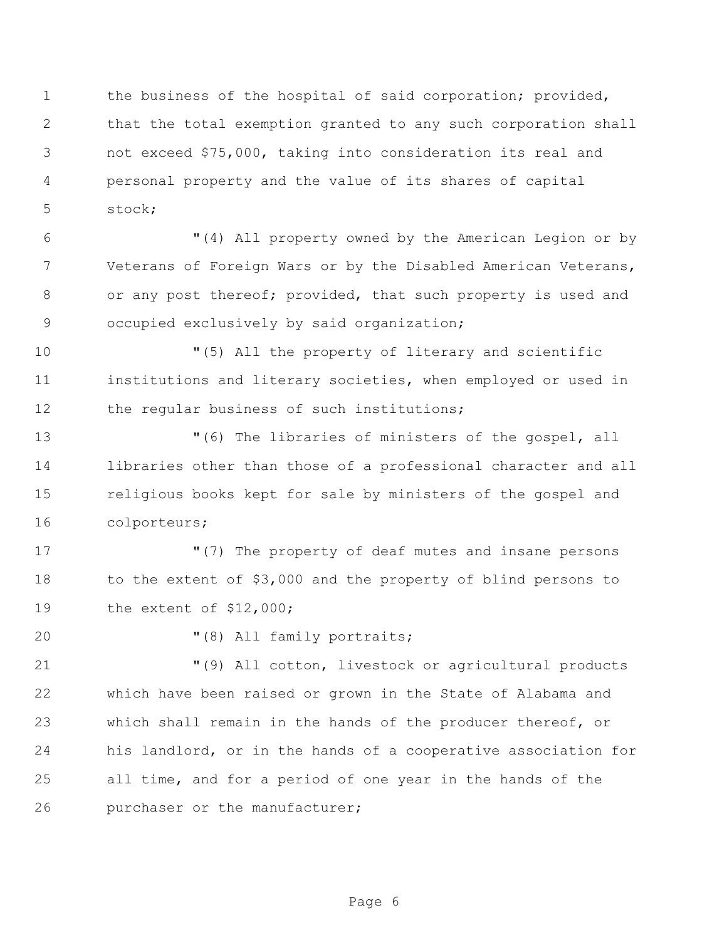1 the business of the hospital of said corporation; provided, that the total exemption granted to any such corporation shall not exceed \$75,000, taking into consideration its real and personal property and the value of its shares of capital stock;

 "(4) All property owned by the American Legion or by Veterans of Foreign Wars or by the Disabled American Veterans, 8 or any post thereof; provided, that such property is used and occupied exclusively by said organization;

 "(5) All the property of literary and scientific institutions and literary societies, when employed or used in 12 the regular business of such institutions;

 "(6) The libraries of ministers of the gospel, all libraries other than those of a professional character and all religious books kept for sale by ministers of the gospel and colporteurs;

 "(7) The property of deaf mutes and insane persons to the extent of \$3,000 and the property of blind persons to the extent of \$12,000;

20  $(8)$  All family portraits;

 "(9) All cotton, livestock or agricultural products which have been raised or grown in the State of Alabama and which shall remain in the hands of the producer thereof, or his landlord, or in the hands of a cooperative association for all time, and for a period of one year in the hands of the purchaser or the manufacturer;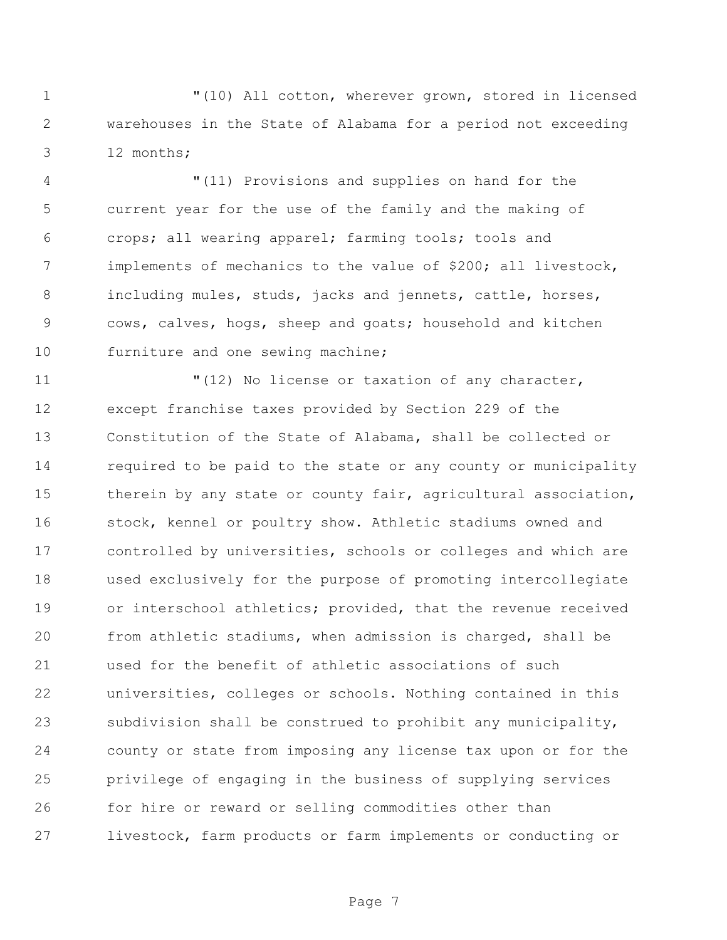"(10) All cotton, wherever grown, stored in licensed warehouses in the State of Alabama for a period not exceeding 12 months;

 "(11) Provisions and supplies on hand for the current year for the use of the family and the making of crops; all wearing apparel; farming tools; tools and implements of mechanics to the value of \$200; all livestock, including mules, studs, jacks and jennets, cattle, horses, cows, calves, hogs, sheep and goats; household and kitchen 10 furniture and one sewing machine;

 $\blacksquare(12)$  No license or taxation of any character, except franchise taxes provided by Section 229 of the Constitution of the State of Alabama, shall be collected or required to be paid to the state or any county or municipality 15 therein by any state or county fair, agricultural association, stock, kennel or poultry show. Athletic stadiums owned and controlled by universities, schools or colleges and which are used exclusively for the purpose of promoting intercollegiate or interschool athletics; provided, that the revenue received from athletic stadiums, when admission is charged, shall be used for the benefit of athletic associations of such universities, colleges or schools. Nothing contained in this subdivision shall be construed to prohibit any municipality, county or state from imposing any license tax upon or for the privilege of engaging in the business of supplying services for hire or reward or selling commodities other than livestock, farm products or farm implements or conducting or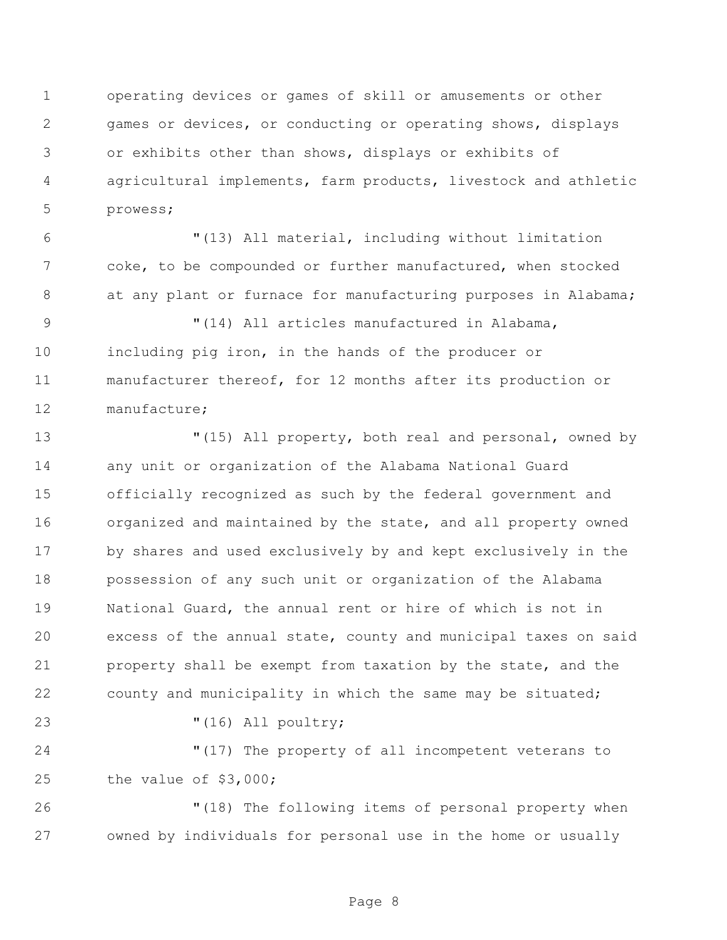operating devices or games of skill or amusements or other games or devices, or conducting or operating shows, displays or exhibits other than shows, displays or exhibits of agricultural implements, farm products, livestock and athletic prowess;

 "(13) All material, including without limitation coke, to be compounded or further manufactured, when stocked 8 at any plant or furnace for manufacturing purposes in Alabama;

 "(14) All articles manufactured in Alabama, including pig iron, in the hands of the producer or manufacturer thereof, for 12 months after its production or manufacture;

 "(15) All property, both real and personal, owned by any unit or organization of the Alabama National Guard officially recognized as such by the federal government and organized and maintained by the state, and all property owned by shares and used exclusively by and kept exclusively in the possession of any such unit or organization of the Alabama National Guard, the annual rent or hire of which is not in excess of the annual state, county and municipal taxes on said property shall be exempt from taxation by the state, and the county and municipality in which the same may be situated;

"(16) All poultry;

 "(17) The property of all incompetent veterans to the value of \$3,000;

 "(18) The following items of personal property when owned by individuals for personal use in the home or usually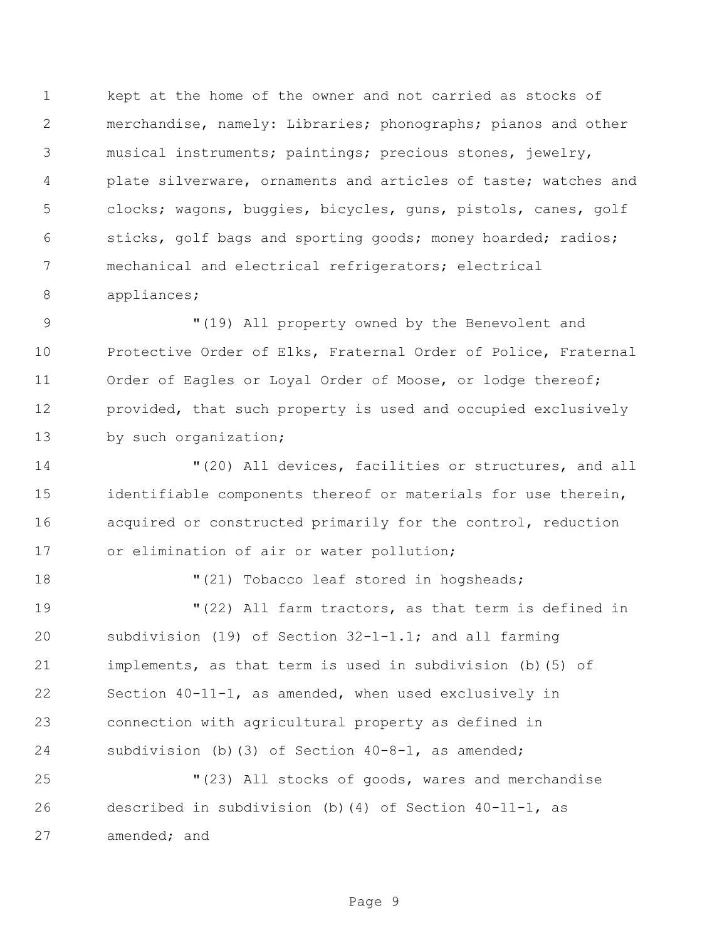kept at the home of the owner and not carried as stocks of merchandise, namely: Libraries; phonographs; pianos and other musical instruments; paintings; precious stones, jewelry, plate silverware, ornaments and articles of taste; watches and clocks; wagons, buggies, bicycles, guns, pistols, canes, golf sticks, golf bags and sporting goods; money hoarded; radios; mechanical and electrical refrigerators; electrical appliances;

 "(19) All property owned by the Benevolent and Protective Order of Elks, Fraternal Order of Police, Fraternal Order of Eagles or Loyal Order of Moose, or lodge thereof; provided, that such property is used and occupied exclusively 13 by such organization;

 "(20) All devices, facilities or structures, and all identifiable components thereof or materials for use therein, acquired or constructed primarily for the control, reduction 17 or elimination of air or water pollution;

18  $(21)$  Tobacco leaf stored in hogsheads;

 "(22) All farm tractors, as that term is defined in subdivision (19) of Section 32-1-1.1; and all farming implements, as that term is used in subdivision (b)(5) of Section 40-11-1, as amended, when used exclusively in connection with agricultural property as defined in subdivision (b)(3) of Section 40-8-1, as amended;

 "(23) All stocks of goods, wares and merchandise described in subdivision (b)(4) of Section 40-11-1, as amended; and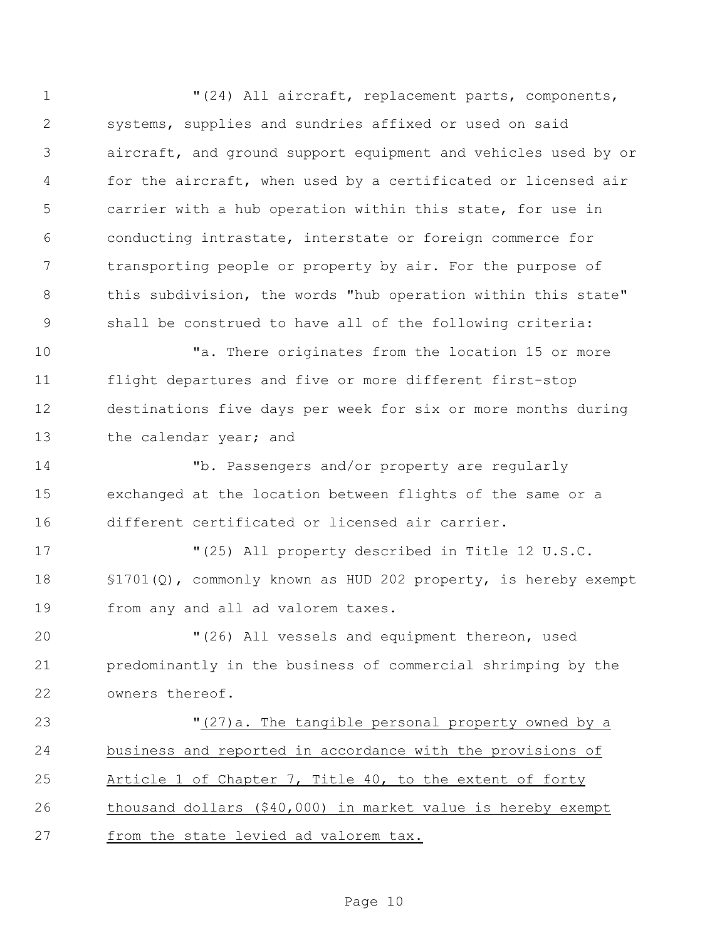"(24) All aircraft, replacement parts, components, systems, supplies and sundries affixed or used on said aircraft, and ground support equipment and vehicles used by or for the aircraft, when used by a certificated or licensed air carrier with a hub operation within this state, for use in conducting intrastate, interstate or foreign commerce for transporting people or property by air. For the purpose of 8 this subdivision, the words "hub operation within this state" shall be construed to have all of the following criteria:

10 There originates from the location 15 or more flight departures and five or more different first-stop destinations five days per week for six or more months during 13 the calendar year; and

 "b. Passengers and/or property are regularly exchanged at the location between flights of the same or a different certificated or licensed air carrier.

 "(25) All property described in Title 12 U.S.C. §1701(Q), commonly known as HUD 202 property, is hereby exempt from any and all ad valorem taxes.

 "(26) All vessels and equipment thereon, used predominantly in the business of commercial shrimping by the owners thereof.

 "(27)a. The tangible personal property owned by a business and reported in accordance with the provisions of Article 1 of Chapter 7, Title 40, to the extent of forty thousand dollars (\$40,000) in market value is hereby exempt from the state levied ad valorem tax.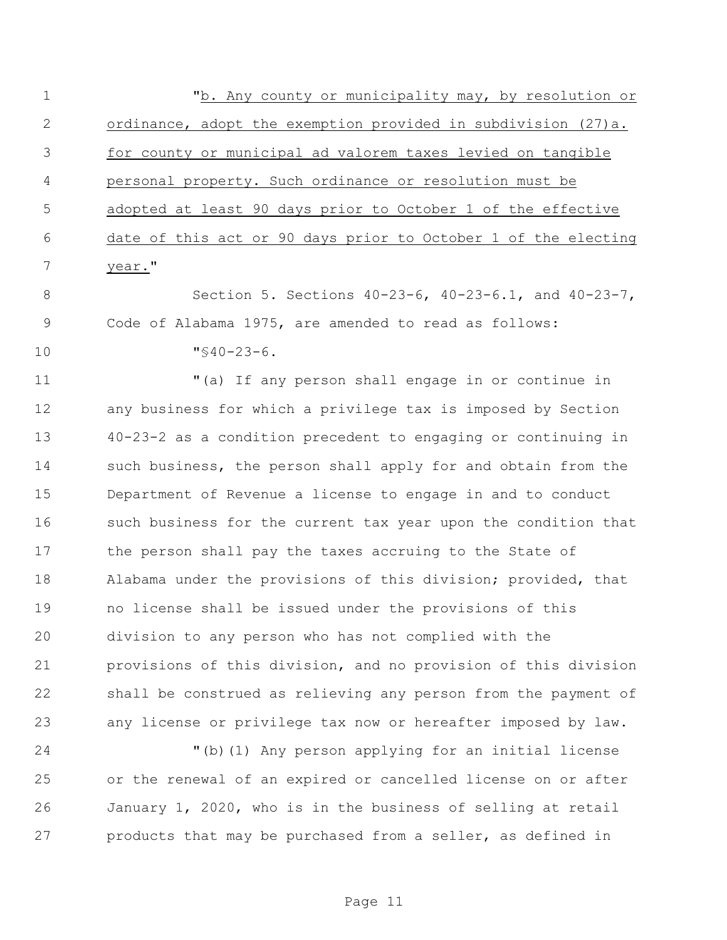1 The May county or municipality may, by resolution or ordinance, adopt the exemption provided in subdivision (27)a. for county or municipal ad valorem taxes levied on tangible personal property. Such ordinance or resolution must be adopted at least 90 days prior to October 1 of the effective date of this act or 90 days prior to October 1 of the electing 7 year."

 Section 5. Sections 40-23-6, 40-23-6.1, and 40-23-7, Code of Alabama 1975, are amended to read as follows:

"§40-23-6.

 "(a) If any person shall engage in or continue in any business for which a privilege tax is imposed by Section 40-23-2 as a condition precedent to engaging or continuing in 14 such business, the person shall apply for and obtain from the Department of Revenue a license to engage in and to conduct such business for the current tax year upon the condition that the person shall pay the taxes accruing to the State of Alabama under the provisions of this division; provided, that no license shall be issued under the provisions of this division to any person who has not complied with the provisions of this division, and no provision of this division shall be construed as relieving any person from the payment of any license or privilege tax now or hereafter imposed by law.

 "(b)(1) Any person applying for an initial license or the renewal of an expired or cancelled license on or after January 1, 2020, who is in the business of selling at retail products that may be purchased from a seller, as defined in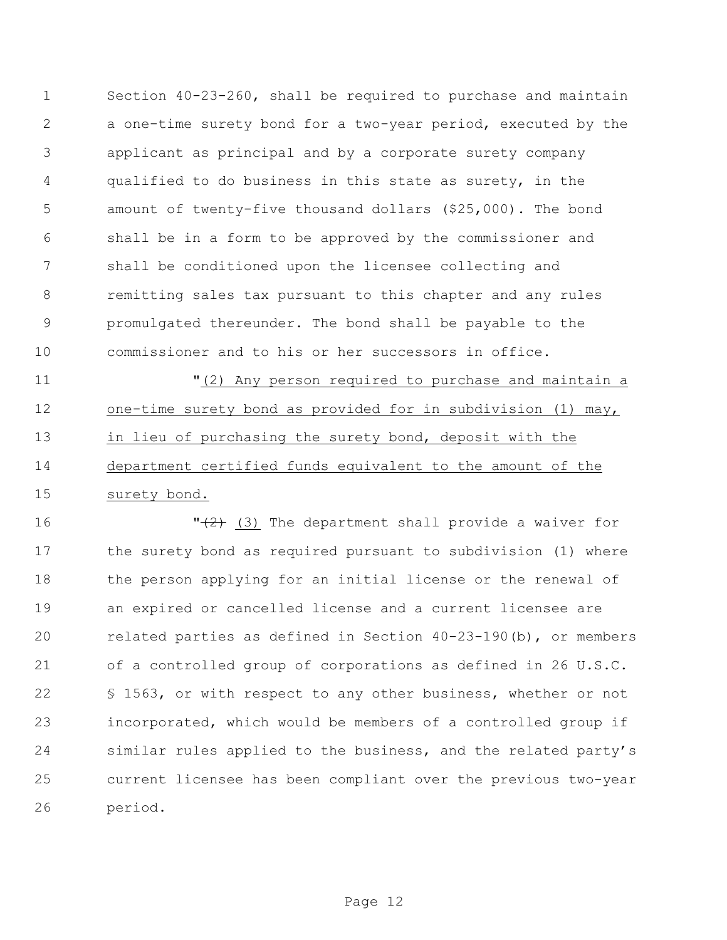Section 40-23-260, shall be required to purchase and maintain a one-time surety bond for a two-year period, executed by the applicant as principal and by a corporate surety company qualified to do business in this state as surety, in the amount of twenty-five thousand dollars (\$25,000). The bond shall be in a form to be approved by the commissioner and shall be conditioned upon the licensee collecting and remitting sales tax pursuant to this chapter and any rules promulgated thereunder. The bond shall be payable to the commissioner and to his or her successors in office.

 "(2) Any person required to purchase and maintain a one-time surety bond as provided for in subdivision (1) may, in lieu of purchasing the surety bond, deposit with the department certified funds equivalent to the amount of the surety bond.

 $\sqrt{2}$  (3) The department shall provide a waiver for the surety bond as required pursuant to subdivision (1) where the person applying for an initial license or the renewal of an expired or cancelled license and a current licensee are related parties as defined in Section 40-23-190(b), or members of a controlled group of corporations as defined in 26 U.S.C. 22 § 1563, or with respect to any other business, whether or not incorporated, which would be members of a controlled group if similar rules applied to the business, and the related party's current licensee has been compliant over the previous two-year period.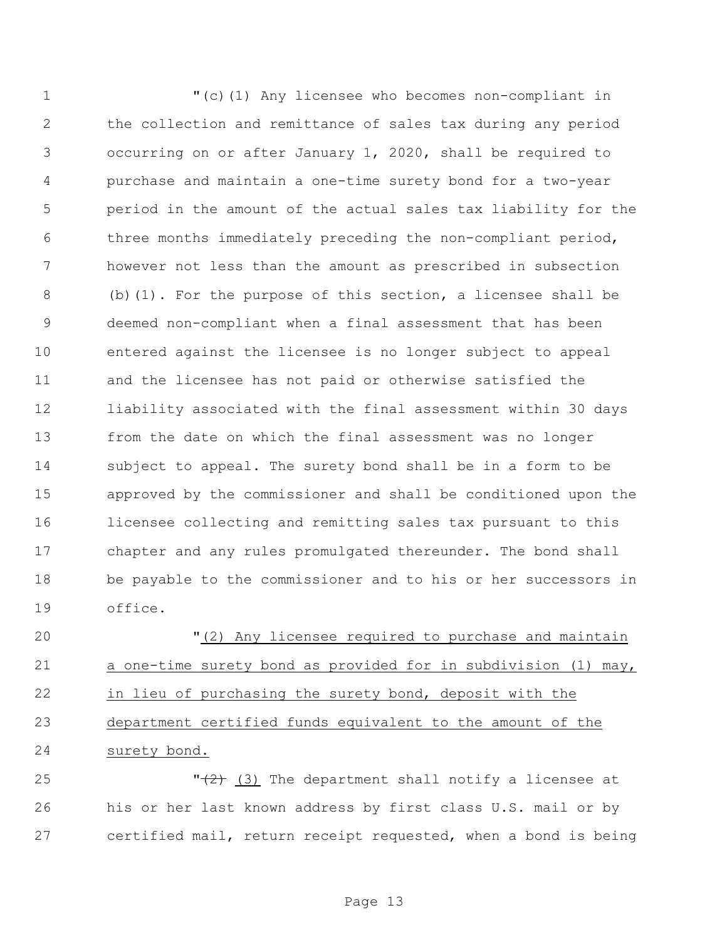"(c)(1) Any licensee who becomes non-compliant in the collection and remittance of sales tax during any period occurring on or after January 1, 2020, shall be required to purchase and maintain a one-time surety bond for a two-year period in the amount of the actual sales tax liability for the three months immediately preceding the non-compliant period, however not less than the amount as prescribed in subsection (b)(1). For the purpose of this section, a licensee shall be deemed non-compliant when a final assessment that has been entered against the licensee is no longer subject to appeal and the licensee has not paid or otherwise satisfied the liability associated with the final assessment within 30 days from the date on which the final assessment was no longer subject to appeal. The surety bond shall be in a form to be approved by the commissioner and shall be conditioned upon the licensee collecting and remitting sales tax pursuant to this chapter and any rules promulgated thereunder. The bond shall be payable to the commissioner and to his or her successors in office.

 "(2) Any licensee required to purchase and maintain a one-time surety bond as provided for in subdivision (1) may, in lieu of purchasing the surety bond, deposit with the department certified funds equivalent to the amount of the surety bond.

25  $\sqrt{2}$  (3) The department shall notify a licensee at his or her last known address by first class U.S. mail or by certified mail, return receipt requested, when a bond is being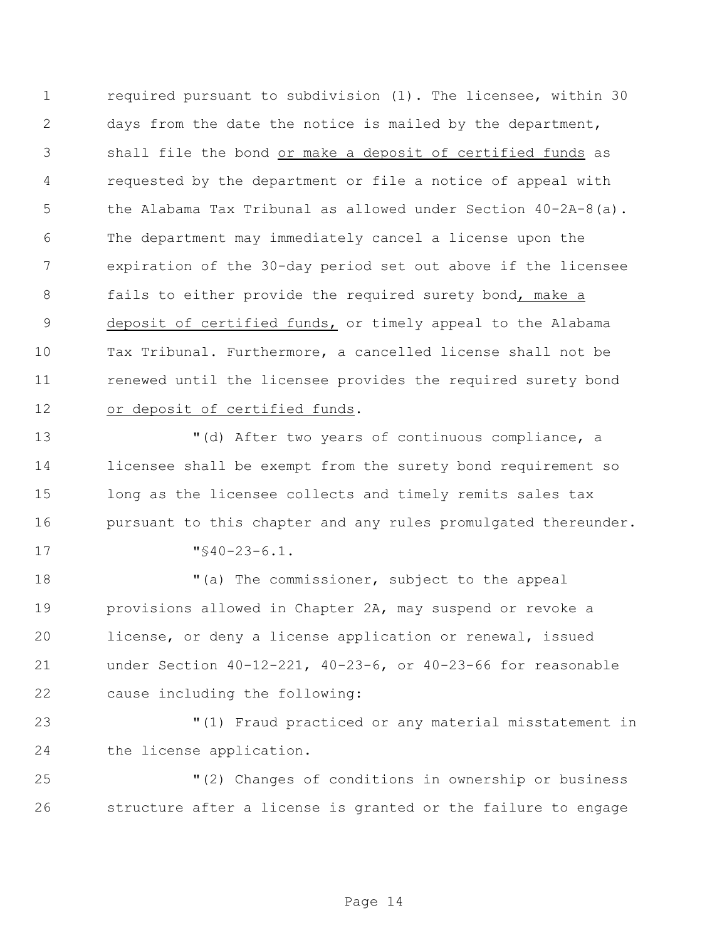required pursuant to subdivision (1). The licensee, within 30 days from the date the notice is mailed by the department, shall file the bond or make a deposit of certified funds as requested by the department or file a notice of appeal with the Alabama Tax Tribunal as allowed under Section 40-2A-8(a). The department may immediately cancel a license upon the expiration of the 30-day period set out above if the licensee fails to either provide the required surety bond, make a deposit of certified funds, or timely appeal to the Alabama Tax Tribunal. Furthermore, a cancelled license shall not be renewed until the licensee provides the required surety bond or deposit of certified funds.

 "(d) After two years of continuous compliance, a licensee shall be exempt from the surety bond requirement so long as the licensee collects and timely remits sales tax pursuant to this chapter and any rules promulgated thereunder. "§40-23-6.1.

18 The commissioner, subject to the appeal provisions allowed in Chapter 2A, may suspend or revoke a license, or deny a license application or renewal, issued under Section 40-12-221, 40-23-6, or 40-23-66 for reasonable cause including the following:

 "(1) Fraud practiced or any material misstatement in the license application.

 "(2) Changes of conditions in ownership or business structure after a license is granted or the failure to engage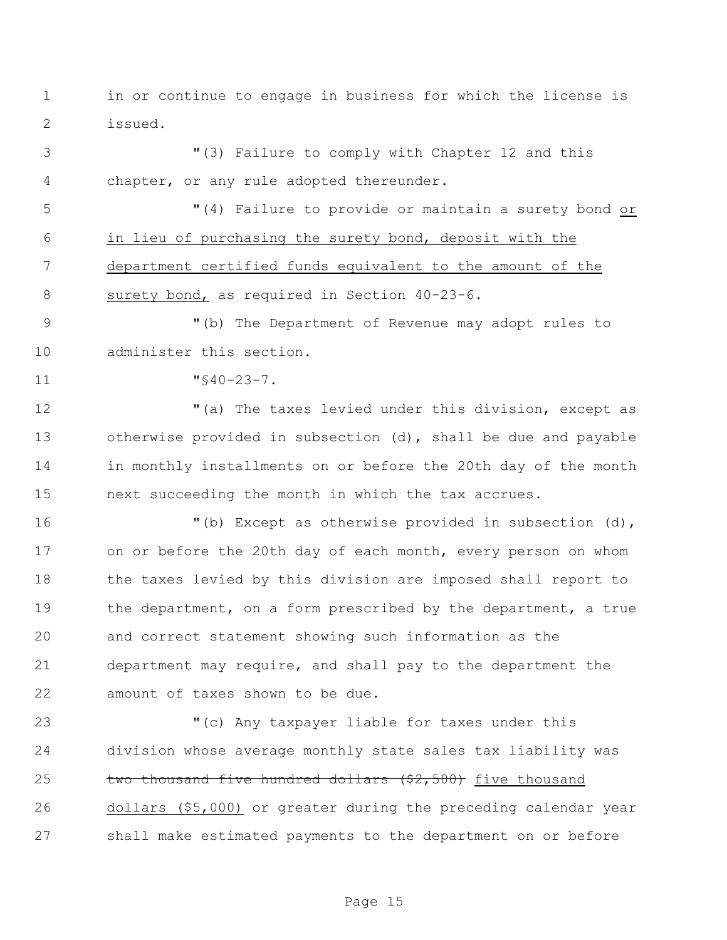in or continue to engage in business for which the license is issued.

 "(3) Failure to comply with Chapter 12 and this chapter, or any rule adopted thereunder.

 "(4) Failure to provide or maintain a surety bond or in lieu of purchasing the surety bond, deposit with the department certified funds equivalent to the amount of the 8 surety bond, as required in Section 40-23-6.

 "(b) The Department of Revenue may adopt rules to administer this section.

"§40-23-7.

12 The taxes levied under this division, except as otherwise provided in subsection (d), shall be due and payable in monthly installments on or before the 20th day of the month next succeeding the month in which the tax accrues.

 "(b) Except as otherwise provided in subsection (d), on or before the 20th day of each month, every person on whom 18 the taxes levied by this division are imposed shall report to the department, on a form prescribed by the department, a true and correct statement showing such information as the department may require, and shall pay to the department the amount of taxes shown to be due.

 "(c) Any taxpayer liable for taxes under this division whose average monthly state sales tax liability was 25 two thousand five hundred dollars  $(52,500)$  five thousand dollars (\$5,000) or greater during the preceding calendar year shall make estimated payments to the department on or before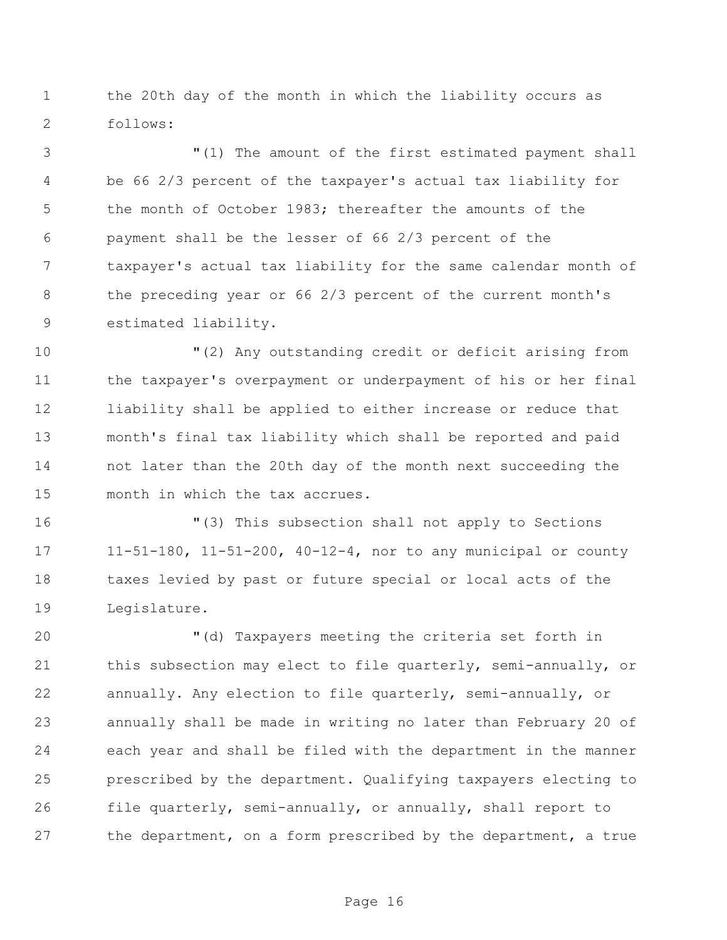the 20th day of the month in which the liability occurs as follows:

 "(1) The amount of the first estimated payment shall be 66 2/3 percent of the taxpayer's actual tax liability for the month of October 1983; thereafter the amounts of the payment shall be the lesser of 66 2/3 percent of the taxpayer's actual tax liability for the same calendar month of the preceding year or 66 2/3 percent of the current month's estimated liability.

 "(2) Any outstanding credit or deficit arising from the taxpayer's overpayment or underpayment of his or her final liability shall be applied to either increase or reduce that month's final tax liability which shall be reported and paid not later than the 20th day of the month next succeeding the month in which the tax accrues.

 "(3) This subsection shall not apply to Sections 11-51-180, 11-51-200, 40-12-4, nor to any municipal or county taxes levied by past or future special or local acts of the Legislature.

 "(d) Taxpayers meeting the criteria set forth in this subsection may elect to file quarterly, semi-annually, or annually. Any election to file quarterly, semi-annually, or annually shall be made in writing no later than February 20 of each year and shall be filed with the department in the manner prescribed by the department. Qualifying taxpayers electing to file quarterly, semi-annually, or annually, shall report to the department, on a form prescribed by the department, a true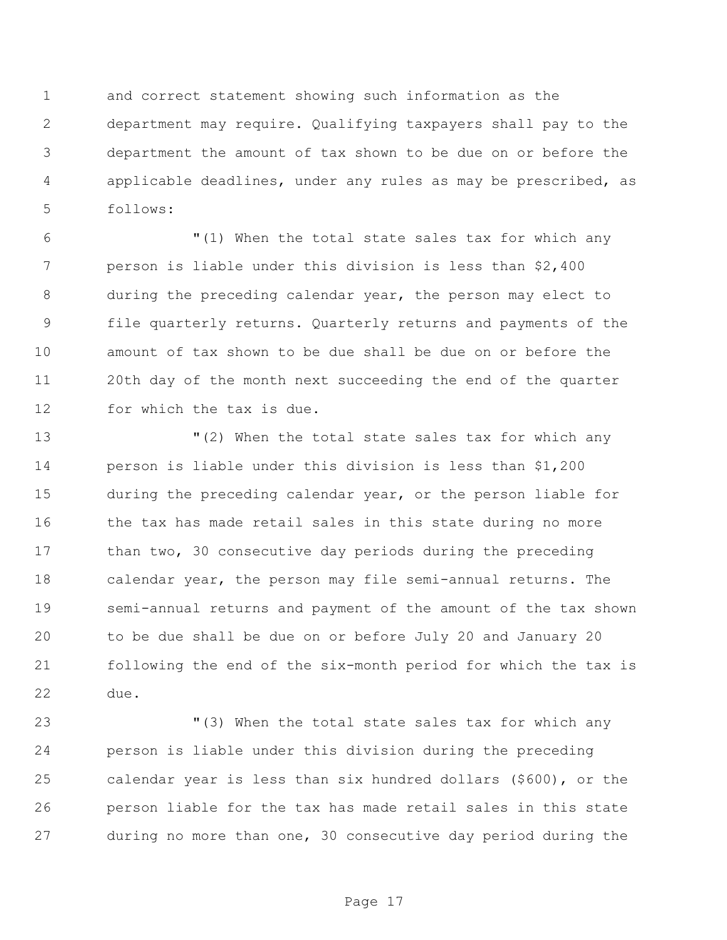and correct statement showing such information as the department may require. Qualifying taxpayers shall pay to the department the amount of tax shown to be due on or before the applicable deadlines, under any rules as may be prescribed, as follows:

 "(1) When the total state sales tax for which any person is liable under this division is less than \$2,400 during the preceding calendar year, the person may elect to file quarterly returns. Quarterly returns and payments of the amount of tax shown to be due shall be due on or before the 20th day of the month next succeeding the end of the quarter for which the tax is due.

 "(2) When the total state sales tax for which any person is liable under this division is less than \$1,200 during the preceding calendar year, or the person liable for 16 the tax has made retail sales in this state during no more 17 than two, 30 consecutive day periods during the preceding calendar year, the person may file semi-annual returns. The semi-annual returns and payment of the amount of the tax shown to be due shall be due on or before July 20 and January 20 following the end of the six-month period for which the tax is due.

 "(3) When the total state sales tax for which any person is liable under this division during the preceding calendar year is less than six hundred dollars (\$600), or the person liable for the tax has made retail sales in this state during no more than one, 30 consecutive day period during the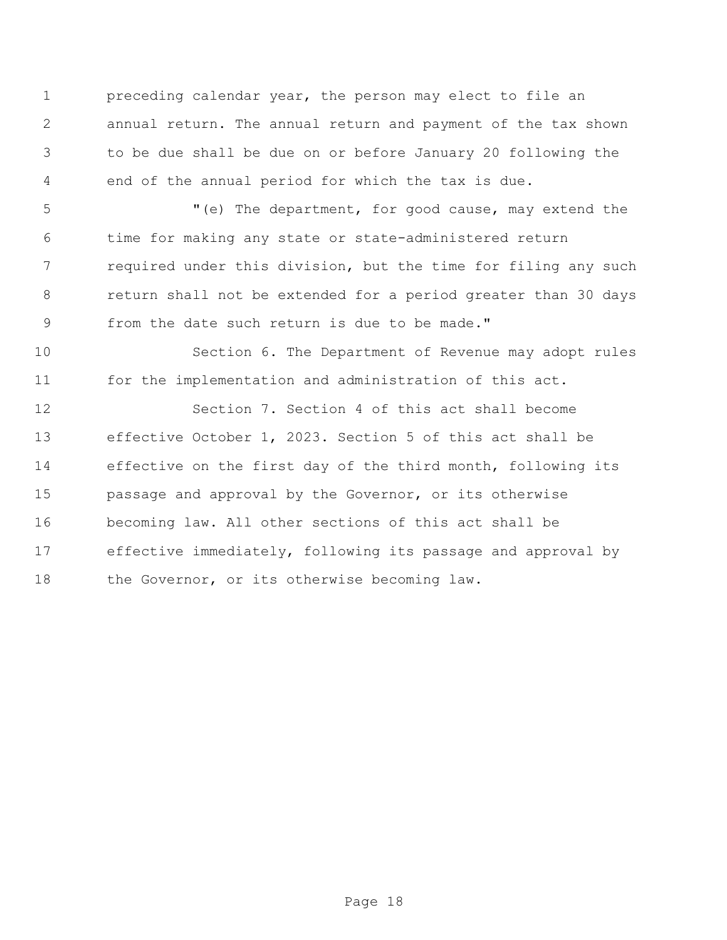preceding calendar year, the person may elect to file an annual return. The annual return and payment of the tax shown to be due shall be due on or before January 20 following the end of the annual period for which the tax is due.

 "(e) The department, for good cause, may extend the time for making any state or state-administered return required under this division, but the time for filing any such return shall not be extended for a period greater than 30 days from the date such return is due to be made."

 Section 6. The Department of Revenue may adopt rules for the implementation and administration of this act.

 Section 7. Section 4 of this act shall become effective October 1, 2023. Section 5 of this act shall be effective on the first day of the third month, following its passage and approval by the Governor, or its otherwise becoming law. All other sections of this act shall be effective immediately, following its passage and approval by 18 the Governor, or its otherwise becoming law.